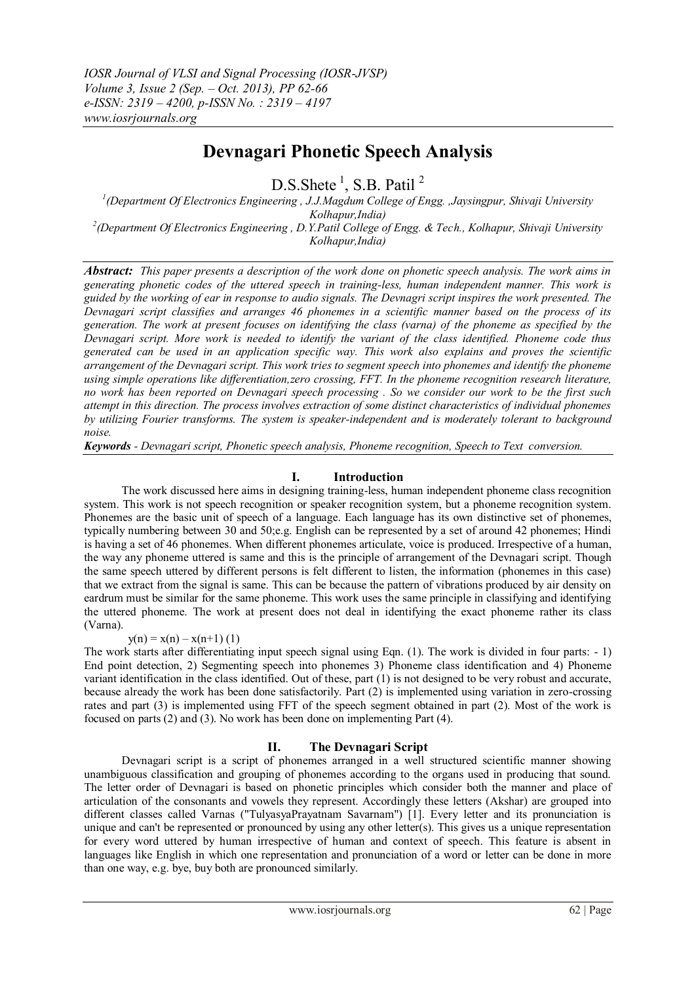# **Devnagari Phonetic Speech Analysis**

 $D.S. Shete<sup>1</sup>, S.B. Patil<sup>2</sup>$ 

*1 (Department Of Electronics Engineering , J.J.Magdum College of Engg. ,Jaysingpur, Shivaji University Kolhapur,India) 2 (Department Of Electronics Engineering , D.Y.Patil College of Engg. & Tech., Kolhapur, Shivaji University Kolhapur,India)*

*Abstract: This paper presents a description of the work done on phonetic speech analysis. The work aims in generating phonetic codes of the uttered speech in training-less, human independent manner. This work is guided by the working of ear in response to audio signals. The Devnagri script inspires the work presented. The Devnagari script classifies and arranges 46 phonemes in a scientific manner based on the process of its generation. The work at present focuses on identifying the class (varna) of the phoneme as specified by the Devnagari script. More work is needed to identify the variant of the class identified. Phoneme code thus generated can be used in an application specific way. This work also explains and proves the scientific arrangement of the Devnagari script. This work tries to segment speech into phonemes and identify the phoneme using simple operations like differentiation,zero crossing, FFT. In the phoneme recognition research literature, no work has been reported on Devnagari speech processing . So we consider our work to be the first such attempt in this direction. The process involves extraction of some distinct characteristics of individual phonemes by utilizing Fourier transforms. The system is speaker-independent and is moderately tolerant to background noise.* 

*Keywords - Devnagari script, Phonetic speech analysis, Phoneme recognition, Speech to Text conversion.*

# **I. Introduction**

The work discussed here aims in designing training-less, human independent phoneme class recognition system. This work is not speech recognition or speaker recognition system, but a phoneme recognition system. Phonemes are the basic unit of speech of a language. Each language has its own distinctive set of phonemes, typically numbering between 30 and 50;e.g. English can be represented by a set of around 42 phonemes; Hindi is having a set of 46 phonemes. When different phonemes articulate, voice is produced. Irrespective of a human, the way any phoneme uttered is same and this is the principle of arrangement of the Devnagari script. Though the same speech uttered by different persons is felt different to listen, the information (phonemes in this case) that we extract from the signal is same. This can be because the pattern of vibrations produced by air density on eardrum must be similar for the same phoneme. This work uses the same principle in classifying and identifying the uttered phoneme. The work at present does not deal in identifying the exact phoneme rather its class (Varna).

# $y(n) = x(n) - x(n+1)$  (1)

The work starts after differentiating input speech signal using Eqn. (1). The work is divided in four parts: - 1) End point detection, 2) Segmenting speech into phonemes 3) Phoneme class identification and 4) Phoneme variant identification in the class identified. Out of these, part (1) is not designed to be very robust and accurate, because already the work has been done satisfactorily. Part (2) is implemented using variation in zero-crossing rates and part (3) is implemented using FFT of the speech segment obtained in part (2). Most of the work is focused on parts (2) and (3). No work has been done on implementing Part (4).

# **II. The Devnagari Script**

 Devnagari script is a script of phonemes arranged in a well structured scientific manner showing unambiguous classification and grouping of phonemes according to the organs used in producing that sound. The letter order of Devnagari is based on phonetic principles which consider both the manner and place of articulation of the consonants and vowels they represent. Accordingly these letters (Akshar) are grouped into different classes called Varnas ("TulyasyaPrayatnam Savarnam") [1]. Every letter and its pronunciation is unique and can't be represented or pronounced by using any other letter(s). This gives us a unique representation for every word uttered by human irrespective of human and context of speech. This feature is absent in languages like English in which one representation and pronunciation of a word or letter can be done in more than one way, e.g. bye, buy both are pronounced similarly.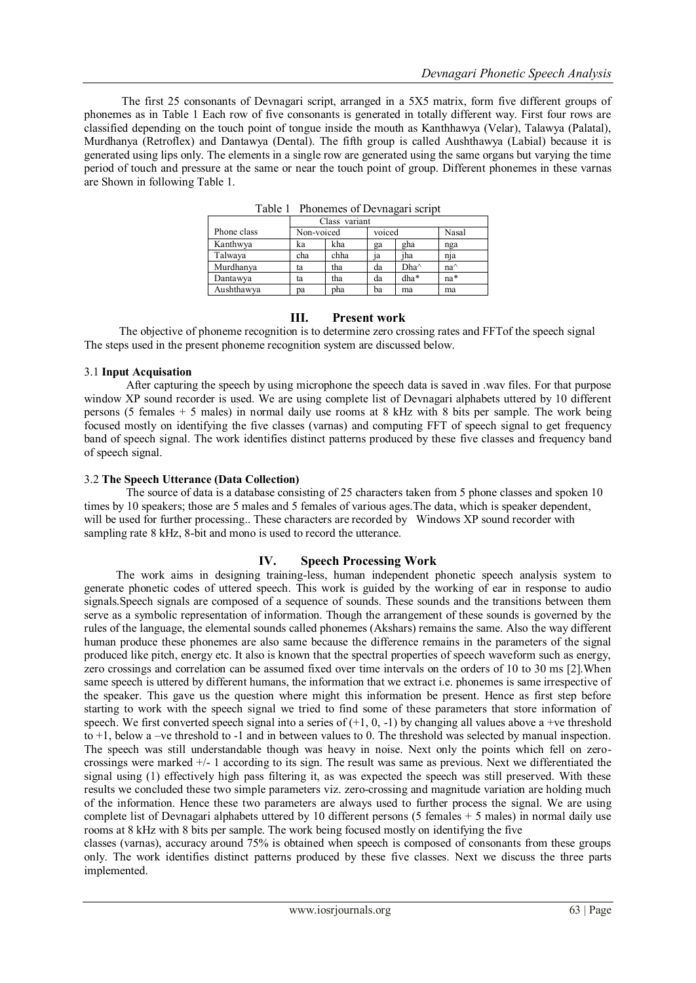The first 25 consonants of Devnagari script, arranged in a 5X5 matrix, form five different groups of phonemes as in Table 1 Each row of five consonants is generated in totally different way. First four rows are classified depending on the touch point of tongue inside the mouth as Kanthhawya (Velar), Talawya (Palatal), Murdhanya (Retroflex) and Dantawya (Dental). The fifth group is called Aushthawya (Labial) because it is generated using lips only. The elements in a single row are generated using the same organs but varying the time period of touch and pressure at the same or near the touch point of group. Different phonemes in these varnas are Shown in following Table 1.

|             | Class variant |      |        |      |               |
|-------------|---------------|------|--------|------|---------------|
| Phone class | Non-voiced    |      | voiced |      | Nasal         |
| Kanthwya    | ka            | kha  | ga     | gha  | nga           |
| Talwaya     | cha           | chha | 1a     | iha  | nja           |
| Murdhanya   | ta            | tha  | da     | Dha^ | $na^{\wedge}$ |
| Dantawya    | ta            | tha  | da     | dha* | na*           |
| Aushthawya  | рa            | pha  | ba     | ma   | ma            |

Table 1 Phonemes of Devnagari script

# **III. Present work**

 The objective of phoneme recognition is to determine zero crossing rates and FFTof the speech signal The steps used in the present phoneme recognition system are discussed below.

## 3.1 **Input Acquisation**

After capturing the speech by using microphone the speech data is saved in .wav files. For that purpose window XP sound recorder is used. We are using complete list of Devnagari alphabets uttered by 10 different persons (5 females + 5 males) in normal daily use rooms at 8 kHz with 8 bits per sample. The work being focused mostly on identifying the five classes (varnas) and computing FFT of speech signal to get frequency band of speech signal. The work identifies distinct patterns produced by these five classes and frequency band of speech signal.

## 3.2 **The Speech Utterance (Data Collection)**

The source of data is a database consisting of 25 characters taken from 5 phone classes and spoken 10 times by 10 speakers; those are 5 males and 5 females of various ages.The data, which is speaker dependent, will be used for further processing.. These characters are recorded by Windows XP sound recorder with sampling rate 8 kHz, 8-bit and mono is used to record the utterance.

# **IV. Speech Processing Work**

 The work aims in designing training-less, human independent phonetic speech analysis system to generate phonetic codes of uttered speech. This work is guided by the working of ear in response to audio signals.Speech signals are composed of a sequence of sounds. These sounds and the transitions between them serve as a symbolic representation of information. Though the arrangement of these sounds is governed by the rules of the language, the elemental sounds called phonemes (Akshars) remains the same. Also the way different human produce these phonemes are also same because the difference remains in the parameters of the signal produced like pitch, energy etc. It also is known that the spectral properties of speech waveform such as energy, zero crossings and correlation can be assumed fixed over time intervals on the orders of 10 to 30 ms [2].When same speech is uttered by different humans, the information that we extract i.e. phonemes is same irrespective of the speaker. This gave us the question where might this information be present. Hence as first step before starting to work with the speech signal we tried to find some of these parameters that store information of speech. We first converted speech signal into a series of  $(+1, 0, -1)$  by changing all values above a +ve threshold to +1, below a –ve threshold to -1 and in between values to 0. The threshold was selected by manual inspection. The speech was still understandable though was heavy in noise. Next only the points which fell on zerocrossings were marked +/- 1 according to its sign. The result was same as previous. Next we differentiated the signal using (1) effectively high pass filtering it, as was expected the speech was still preserved. With these results we concluded these two simple parameters viz. zero-crossing and magnitude variation are holding much of the information. Hence these two parameters are always used to further process the signal. We are using complete list of Devnagari alphabets uttered by 10 different persons (5 females + 5 males) in normal daily use rooms at 8 kHz with 8 bits per sample. The work being focused mostly on identifying the five

classes (varnas), accuracy around 75% is obtained when speech is composed of consonants from these groups only. The work identifies distinct patterns produced by these five classes. Next we discuss the three parts implemented.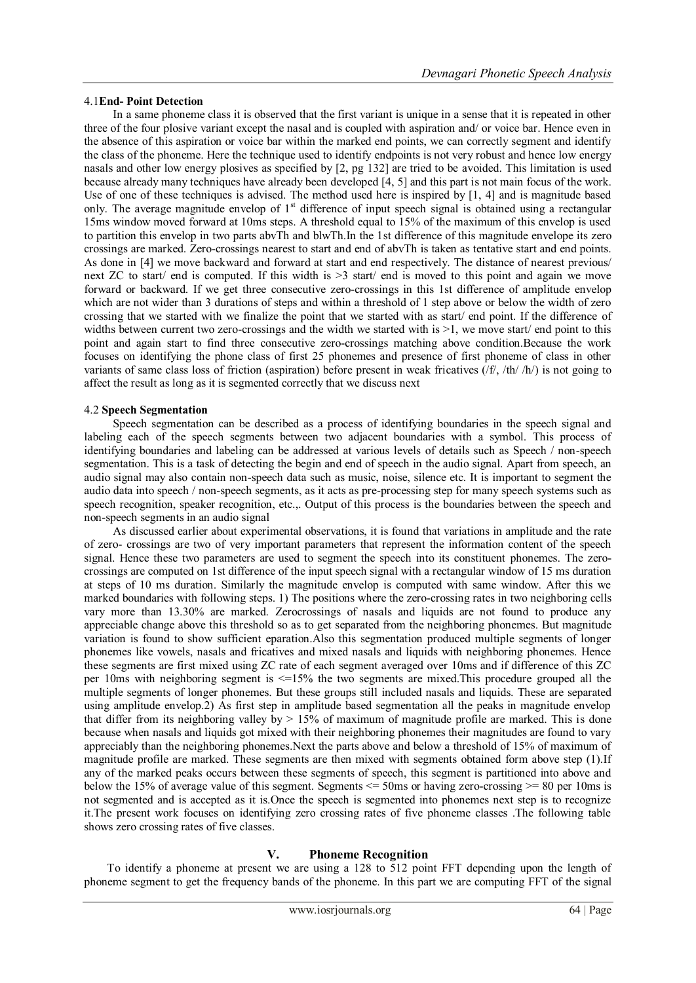### 4.1**End- Point Detection**

 In a same phoneme class it is observed that the first variant is unique in a sense that it is repeated in other three of the four plosive variant except the nasal and is coupled with aspiration and/ or voice bar. Hence even in the absence of this aspiration or voice bar within the marked end points, we can correctly segment and identify the class of the phoneme. Here the technique used to identify endpoints is not very robust and hence low energy nasals and other low energy plosives as specified by [2, pg 132] are tried to be avoided. This limitation is used because already many techniques have already been developed [4, 5] and this part is not main focus of the work. Use of one of these techniques is advised. The method used here is inspired by [1, 4] and is magnitude based only. The average magnitude envelop of 1<sup>st</sup> difference of input speech signal is obtained using a rectangular 15ms window moved forward at 10ms steps. A threshold equal to 15% of the maximum of this envelop is used to partition this envelop in two parts abvTh and blwTh.In the 1st difference of this magnitude envelope its zero crossings are marked. Zero-crossings nearest to start and end of abvTh is taken as tentative start and end points. As done in [4] we move backward and forward at start and end respectively. The distance of nearest previous/ next ZC to start/ end is computed. If this width is >3 start/ end is moved to this point and again we move forward or backward. If we get three consecutive zero-crossings in this 1st difference of amplitude envelop which are not wider than 3 durations of steps and within a threshold of 1 step above or below the width of zero crossing that we started with we finalize the point that we started with as start/ end point. If the difference of widths between current two zero-crossings and the width we started with is  $>1$ , we move start/ end point to this point and again start to find three consecutive zero-crossings matching above condition.Because the work focuses on identifying the phone class of first 25 phonemes and presence of first phoneme of class in other variants of same class loss of friction (aspiration) before present in weak fricatives  $(ff, fh/h)$  is not going to affect the result as long as it is segmented correctly that we discuss next

## 4.2 **Speech Segmentation**

 Speech segmentation can be described as a process of identifying boundaries in the speech signal and labeling each of the speech segments between two adjacent boundaries with a symbol. This process of identifying boundaries and labeling can be addressed at various levels of details such as Speech / non-speech segmentation. This is a task of detecting the begin and end of speech in the audio signal. Apart from speech, an audio signal may also contain non-speech data such as music, noise, silence etc. It is important to segment the audio data into speech / non-speech segments, as it acts as pre-processing step for many speech systems such as speech recognition, speaker recognition, etc.,. Output of this process is the boundaries between the speech and non-speech segments in an audio signal

 As discussed earlier about experimental observations, it is found that variations in amplitude and the rate of zero- crossings are two of very important parameters that represent the information content of the speech signal. Hence these two parameters are used to segment the speech into its constituent phonemes. The zerocrossings are computed on 1st difference of the input speech signal with a rectangular window of 15 ms duration at steps of 10 ms duration. Similarly the magnitude envelop is computed with same window. After this we marked boundaries with following steps. 1) The positions where the zero-crossing rates in two neighboring cells vary more than 13.30% are marked. Zerocrossings of nasals and liquids are not found to produce any appreciable change above this threshold so as to get separated from the neighboring phonemes. But magnitude variation is found to show sufficient eparation.Also this segmentation produced multiple segments of longer phonemes like vowels, nasals and fricatives and mixed nasals and liquids with neighboring phonemes. Hence these segments are first mixed using ZC rate of each segment averaged over 10ms and if difference of this ZC per 10ms with neighboring segment is  $\leq$ =15% the two segments are mixed. This procedure grouped all the multiple segments of longer phonemes. But these groups still included nasals and liquids. These are separated using amplitude envelop.2) As first step in amplitude based segmentation all the peaks in magnitude envelop that differ from its neighboring valley by  $> 15\%$  of maximum of magnitude profile are marked. This is done because when nasals and liquids got mixed with their neighboring phonemes their magnitudes are found to vary appreciably than the neighboring phonemes.Next the parts above and below a threshold of 15% of maximum of magnitude profile are marked. These segments are then mixed with segments obtained form above step (1).If any of the marked peaks occurs between these segments of speech, this segment is partitioned into above and below the 15% of average value of this segment. Segments  $\leq$  50ms or having zero-crossing  $\geq$  80 per 10ms is not segmented and is accepted as it is.Once the speech is segmented into phonemes next step is to recognize it.The present work focuses on identifying zero crossing rates of five phoneme classes .The following table shows zero crossing rates of five classes.

# **V. Phoneme Recognition**

 To identify a phoneme at present we are using a 128 to 512 point FFT depending upon the length of phoneme segment to get the frequency bands of the phoneme. In this part we are computing FFT of the signal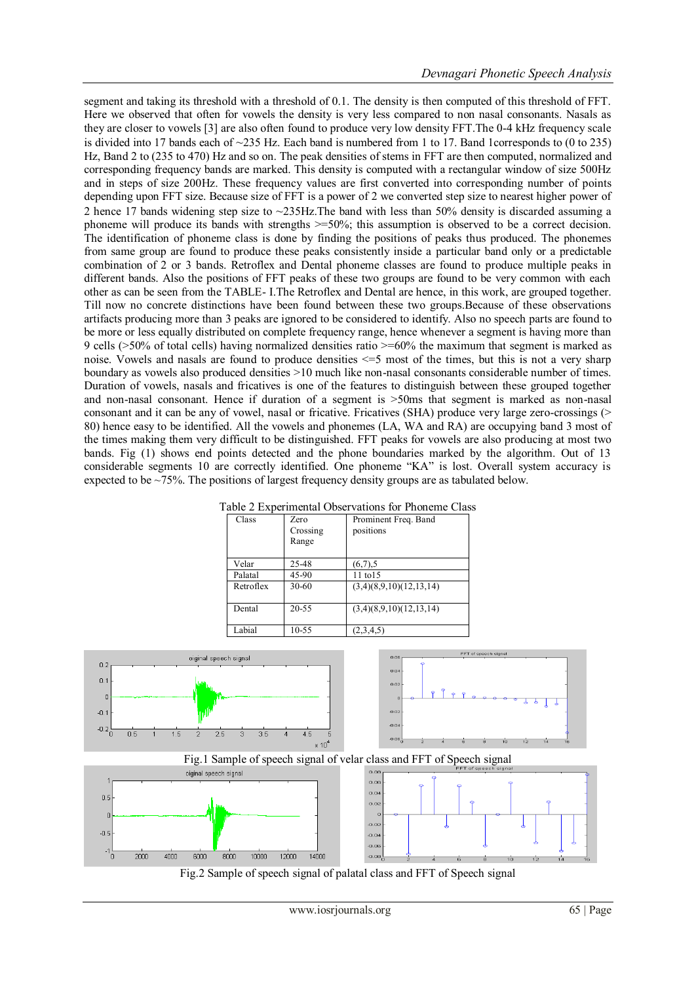segment and taking its threshold with a threshold of 0.1. The density is then computed of this threshold of FFT. Here we observed that often for vowels the density is very less compared to non nasal consonants. Nasals as they are closer to vowels [3] are also often found to produce very low density FFT.The 0-4 kHz frequency scale is divided into 17 bands each of ~235 Hz. Each band is numbered from 1 to 17. Band 1corresponds to (0 to 235) Hz, Band 2 to (235 to 470) Hz and so on. The peak densities of stems in FFT are then computed, normalized and corresponding frequency bands are marked. This density is computed with a rectangular window of size 500Hz and in steps of size 200Hz. These frequency values are first converted into corresponding number of points depending upon FFT size. Because size of FFT is a power of 2 we converted step size to nearest higher power of 2 hence 17 bands widening step size to ~235Hz.The band with less than 50% density is discarded assuming a phoneme will produce its bands with strengths >=50%; this assumption is observed to be a correct decision. The identification of phoneme class is done by finding the positions of peaks thus produced. The phonemes from same group are found to produce these peaks consistently inside a particular band only or a predictable combination of 2 or 3 bands. Retroflex and Dental phoneme classes are found to produce multiple peaks in different bands. Also the positions of FFT peaks of these two groups are found to be very common with each other as can be seen from the TABLE- I.The Retroflex and Dental are hence, in this work, are grouped together. Till now no concrete distinctions have been found between these two groups.Because of these observations artifacts producing more than 3 peaks are ignored to be considered to identify. Also no speech parts are found to be more or less equally distributed on complete frequency range, hence whenever a segment is having more than 9 cells (>50% of total cells) having normalized densities ratio >=60% the maximum that segment is marked as noise. Vowels and nasals are found to produce densities <=5 most of the times, but this is not a very sharp boundary as vowels also produced densities >10 much like non-nasal consonants considerable number of times. Duration of vowels, nasals and fricatives is one of the features to distinguish between these grouped together and non-nasal consonant. Hence if duration of a segment is >50ms that segment is marked as non-nasal consonant and it can be any of vowel, nasal or fricative. Fricatives (SHA) produce very large zero-crossings (> 80) hence easy to be identified. All the vowels and phonemes (LA, WA and RA) are occupying band 3 most of the times making them very difficult to be distinguished. FFT peaks for vowels are also producing at most two bands. Fig (1) shows end points detected and the phone boundaries marked by the algorithm. Out of 13 considerable segments 10 are correctly identified. One phoneme "KA" is lost. Overall system accuracy is expected to be  $\sim$ 75%. The positions of largest frequency density groups are as tabulated below.

| Class     | Zero<br>Crossing<br>Range | Prominent Freq. Band<br>positions |
|-----------|---------------------------|-----------------------------------|
| Velar     | 25-48                     | $(6,7)$ , 5                       |
| Palatal   | 45-90                     | 11 to 15                          |
| Retroflex | $30 - 60$                 | (3,4)(8,9,10)(12,13,14)           |
| Dental    | 20-55                     | (3,4)(8,9,10)(12,13,14)           |
| Labial    | $10 - 55$                 | (2,3,4,5)                         |





Fig.1 Sample of speech signal of velar class and FFT of Speech signal



Fig.2 Sample of speech signal of palatal class and FFT of Speech signal